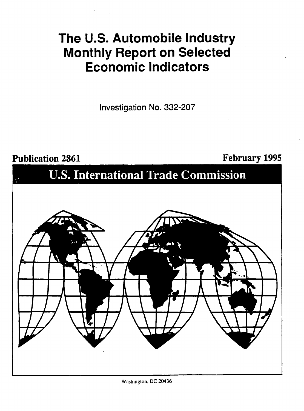# The U.S. Automobile Industry Monthly Report on Selected Economic Indicators

Investigation No. 332-207

# Publication 2861 February 1995

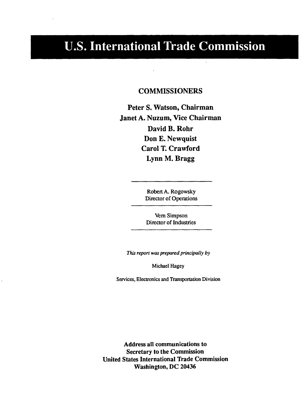# U.S. **International Trade Commission**

# COMMISSIONERS

Peter S. Watson, Chairman Janet A. Nuzum, Vice Chairman David B. Rohr Don E. Newquist Carol T. Crawford Lynn M. Bragg

> Robert A. Rogowsky Director of Operations

> Vern Simpson Director of Industries

*This report was prepared principally by* 

Michael Hagey

Services, Electronics and Transportation Division

 $\ddot{\phantom{1}}$ 

Address all communications to Secretary to the Commission United States International Trade Commission Washington, DC 20436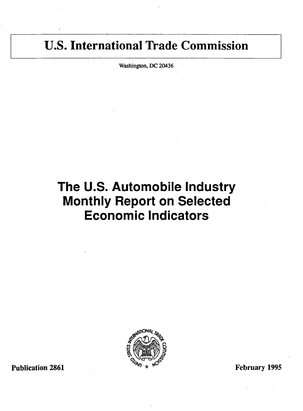# U.S. International Trade Commission

Washington, DC 20436

# The U.S. Automobile Industry Monthly Report on Selected Economic Indicators



Publication 2861  $\frac{1}{2}$   $\frac{1}{2}$  February 1995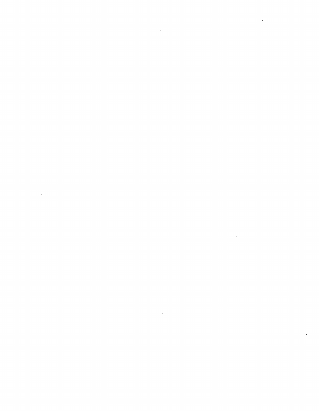$\label{eq:2.1} \mathcal{L} = \frac{1}{2} \sum_{i=1}^n \frac{1}{2} \sum_{j=1}^n \frac{1}{2} \sum_{j=1}^n \frac{1}{2} \sum_{j=1}^n \frac{1}{2} \sum_{j=1}^n \frac{1}{2} \sum_{j=1}^n \frac{1}{2} \sum_{j=1}^n \frac{1}{2} \sum_{j=1}^n \frac{1}{2} \sum_{j=1}^n \frac{1}{2} \sum_{j=1}^n \frac{1}{2} \sum_{j=1}^n \frac{1}{2} \sum_{j=1}^n \frac{1}{2} \sum_{j=$  $\mathcal{L}(\mathcal{L}^{\mathcal{L}})$  and  $\mathcal{L}^{\mathcal{L}}$  and  $\mathcal{L}^{\mathcal{L}}$  and  $\mathcal{L}^{\mathcal{L}}$  $\label{eq:2.1} \frac{1}{\sqrt{2}}\left(\frac{1}{\sqrt{2}}\right)^{2} \left(\frac{1}{\sqrt{2}}\right)^{2} \left(\frac{1}{\sqrt{2}}\right)^{2} \left(\frac{1}{\sqrt{2}}\right)^{2} \left(\frac{1}{\sqrt{2}}\right)^{2} \left(\frac{1}{\sqrt{2}}\right)^{2} \left(\frac{1}{\sqrt{2}}\right)^{2} \left(\frac{1}{\sqrt{2}}\right)^{2} \left(\frac{1}{\sqrt{2}}\right)^{2} \left(\frac{1}{\sqrt{2}}\right)^{2} \left(\frac{1}{\sqrt{2}}\right)^{2} \left(\$ 

 $\label{eq:2.1} \frac{1}{2} \int_{\mathbb{R}^3} \left| \frac{1}{\lambda} \left( \frac{1}{\lambda} \right) \right| \, d\mu = \frac{1}{2} \int_{\mathbb{R}^3} \left| \frac{1}{\lambda} \left( \frac{1}{\lambda} \right) \right| \, d\mu = \frac{1}{2} \int_{\mathbb{R}^3} \left| \frac{1}{\lambda} \right| \, d\mu.$ 

 $\label{eq:2.1} \mathcal{L}(\mathcal{L}(\mathcal{L})) = \mathcal{L}(\mathcal{L}(\mathcal{L})) = \mathcal{L}(\mathcal{L}(\mathcal{L})) = \mathcal{L}(\mathcal{L}(\mathcal{L})) = \mathcal{L}(\mathcal{L}(\mathcal{L}))$ 

 $\label{eq:2.1} \frac{1}{2} \sum_{i=1}^n \frac{1}{2} \sum_{j=1}^n \frac{1}{2} \sum_{j=1}^n \frac{1}{2} \sum_{j=1}^n \frac{1}{2} \sum_{j=1}^n \frac{1}{2} \sum_{j=1}^n \frac{1}{2} \sum_{j=1}^n \frac{1}{2} \sum_{j=1}^n \frac{1}{2} \sum_{j=1}^n \frac{1}{2} \sum_{j=1}^n \frac{1}{2} \sum_{j=1}^n \frac{1}{2} \sum_{j=1}^n \frac{1}{2} \sum_{j=1}^n \frac{$ 

 $\label{eq:2.1} \frac{1}{\sqrt{2}}\int_{\mathbb{R}^3}\frac{1}{\sqrt{2}}\left(\frac{1}{\sqrt{2}}\right)^2\frac{1}{\sqrt{2}}\left(\frac{1}{\sqrt{2}}\right)^2\frac{1}{\sqrt{2}}\left(\frac{1}{\sqrt{2}}\right)^2\frac{1}{\sqrt{2}}\left(\frac{1}{\sqrt{2}}\right)^2.$ 

 $\label{eq:2.1} \begin{split} \mathcal{L}_{\text{max}}(\mathcal{L}_{\text{max}}(\mathcal{L}_{\text{max}}(\mathcal{L}_{\text{max}}(\mathcal{L}_{\text{max}}(\mathcal{L}_{\text{max}}(\mathcal{L}_{\text{max}}(\mathcal{L}_{\text{max}}(\mathcal{L}_{\text{max}}(\mathcal{L}_{\text{max}}(\mathcal{L}_{\text{max}}(\mathcal{L}_{\text{max}}(\mathcal{L}_{\text{max}}(\mathcal{L}_{\text{max}}(\mathcal{L}_{\text{max}}(\mathcal{L}_{\text{max}}(\mathcal{L}_{\text{max}}(\mathcal{L}_{\text{max}}(\mathcal{L}_{\text$ 

 $\sim 10^{-1}$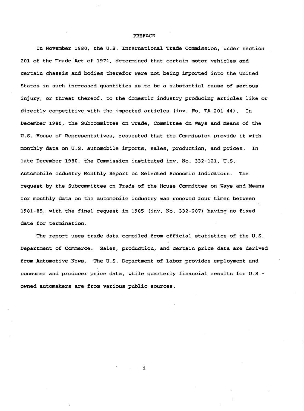#### PREFACE

In November 1980, the U.S. International Trade Commission, under section 201 of the Trade Act of 1974, determined that certain motor vehicles and certain chassis and bodies therefor were not being imported into the United States in such increased quantities as to be a substantial cause of serious injury, or threat thereof, to the domestic industry producing articles like or directly competitive with the imported articles (inv. No. TA-201-44). In December 1980, the Subcommittee on Trade, Committee on Ways and Means of the U.S. House of Representatives, requested that the Commission provide it with monthly data on U.S. automobile imports, sales, production, and prices. In late December 1980, the Commission instituted inv. No. 332-121, U.S. Automobile Industry Monthly Report on Selected Economic Indicators. The request by the Subcommittee on Trade of the House Committee on Ways and Means for monthly data on the automobile industry was renewed four times between 1981-85, with the final request in 1985 (inv. No. 332-207) having no fixed date for termination.

The report uses trade data compiled from official statistics of the U.S. Department of Commerce. Sales, production, and certain price data are derived from Automotive News. The U.S. Department of Labor provides employment and consumer and producer price data, while quarterly financial results for U.S. owned automakers are from various public sources.

i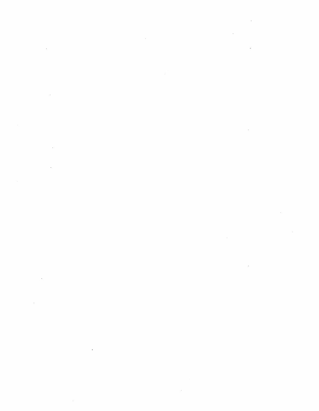$\label{eq:2.1} \frac{1}{\sqrt{2\pi}}\int_{0}^{\infty}\frac{1}{\sqrt{2\pi}}\left(\frac{1}{\sqrt{2\pi}}\right)^{2\alpha} \frac{1}{\sqrt{2\pi}}\int_{0}^{\infty}\frac{1}{\sqrt{2\pi}}\frac{1}{\sqrt{2\pi}}\frac{1}{\sqrt{2\pi}}\frac{1}{\sqrt{2\pi}}\frac{1}{\sqrt{2\pi}}\frac{1}{\sqrt{2\pi}}\frac{1}{\sqrt{2\pi}}\frac{1}{\sqrt{2\pi}}\frac{1}{\sqrt{2\pi}}\frac{1}{\sqrt{2\pi}}\frac{1}{\sqrt{2\pi}}\frac{$  $\label{eq:2.1} \frac{1}{2} \sum_{i=1}^n \frac{1}{2} \sum_{j=1}^n \frac{1}{2} \sum_{j=1}^n \frac{1}{2} \sum_{j=1}^n \frac{1}{2} \sum_{j=1}^n \frac{1}{2} \sum_{j=1}^n \frac{1}{2} \sum_{j=1}^n \frac{1}{2} \sum_{j=1}^n \frac{1}{2} \sum_{j=1}^n \frac{1}{2} \sum_{j=1}^n \frac{1}{2} \sum_{j=1}^n \frac{1}{2} \sum_{j=1}^n \frac{1}{2} \sum_{j=1}^n \frac{$  $\mathcal{L}^{\mathcal{L}}(\mathcal{L}^{\mathcal{L}})$  and  $\mathcal{L}^{\mathcal{L}}(\mathcal{L}^{\mathcal{L}})$  and  $\mathcal{L}^{\mathcal{L}}(\mathcal{L}^{\mathcal{L}})$  $\label{eq:2.1} \frac{1}{\sqrt{2}}\int_{\mathbb{R}^3}\frac{1}{\sqrt{2}}\left(\frac{1}{\sqrt{2}}\right)^2\left(\frac{1}{\sqrt{2}}\right)^2\left(\frac{1}{\sqrt{2}}\right)^2\left(\frac{1}{\sqrt{2}}\right)^2\left(\frac{1}{\sqrt{2}}\right)^2\left(\frac{1}{\sqrt{2}}\right)^2\left(\frac{1}{\sqrt{2}}\right)^2\left(\frac{1}{\sqrt{2}}\right)^2\left(\frac{1}{\sqrt{2}}\right)^2\left(\frac{1}{\sqrt{2}}\right)^2\left(\frac{1}{\sqrt{2}}\right)^2\left(\frac$  $\label{eq:2.1} \frac{1}{\sqrt{2}}\int_{\mathbb{R}^3}\frac{1}{\sqrt{2}}\left(\frac{1}{\sqrt{2}}\right)^2\left(\frac{1}{\sqrt{2}}\right)^2\left(\frac{1}{\sqrt{2}}\right)^2\left(\frac{1}{\sqrt{2}}\right)^2\left(\frac{1}{\sqrt{2}}\right)^2.$  $\label{eq:2.1} \frac{1}{\sqrt{2}}\int_{\mathbb{R}^3}\frac{1}{\sqrt{2}}\left(\frac{1}{\sqrt{2}}\right)^2\frac{1}{\sqrt{2}}\left(\frac{1}{\sqrt{2}}\right)^2\frac{1}{\sqrt{2}}\left(\frac{1}{\sqrt{2}}\right)^2\frac{1}{\sqrt{2}}\left(\frac{1}{\sqrt{2}}\right)^2.$  $\mathcal{L}(\mathcal{L}(\mathcal{L}))$  and  $\mathcal{L}(\mathcal{L}(\mathcal{L}))$  . The contribution of the contribution of the contribution of the contribution of the contribution of the contribution of the contribution of the contribution of the contribut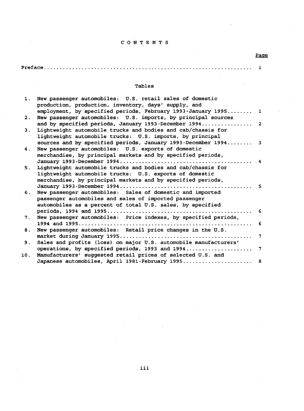## CONTENTS

 $\mathcal{L}$ 

 $\bar{z}$ 

 $\bar{z}$ 

 $\bar{z}$ 

# Tables

| $\mathbf{1}$ .            | New passenger automobiles: U.S. retail sales of domestic<br>production, production, inventory, days' supply, and |    |
|---------------------------|------------------------------------------------------------------------------------------------------------------|----|
|                           | employment, by specified periods, February 1993-January 1995 1                                                   |    |
| $\overline{\mathbf{2}}$ . | New passenger automobiles: U.S. imports, by principal sources                                                    |    |
|                           |                                                                                                                  |    |
| 3.                        | Lightweight automobile trucks and bodies and cab/chassis for                                                     |    |
|                           | lightweight automobile trucks: U.S. imports, by principal                                                        |    |
|                           | sources and by specified periods, January 1993-December 1994 3                                                   |    |
| 4.                        | New passenger automobiles: U.S. exports of domestic                                                              |    |
|                           | merchandise, by principal markets and by specified periods,                                                      |    |
|                           |                                                                                                                  | 4  |
| 5.                        | Lightweight automobile trucks and bodies and cab/chassis for                                                     |    |
|                           | lightweight automobile trucks: U.S. exports of domestic                                                          |    |
|                           | merchandise, by principal markets and by specified periods,                                                      |    |
|                           |                                                                                                                  | 5. |
| 6.                        | New passenger automobiles: Sales of domestic and imported                                                        |    |
|                           | passenger automobiles and sales of imported passenger                                                            |    |
|                           | automobiles as a percent of total U.S. sales, by specified                                                       |    |
|                           |                                                                                                                  | 6  |
| 7.                        | New passenger automobiles: Price indexes, by specified periods,                                                  |    |
|                           |                                                                                                                  | 6  |
| 8.                        | New passenger automobiles: Retail price changes in the U.S.                                                      |    |
|                           |                                                                                                                  | 7  |
| 9.                        | Sales and profits (loss) on major U.S. automobile manufacturers'                                                 |    |
|                           | operations, by specified periods, 1993 and 1994                                                                  | 7  |
| 10.                       | Manufacturers' suggested retail prices of selected U.S. and                                                      |    |
|                           | Japanese automobiles, April 1981-February 1995 8                                                                 |    |
|                           |                                                                                                                  |    |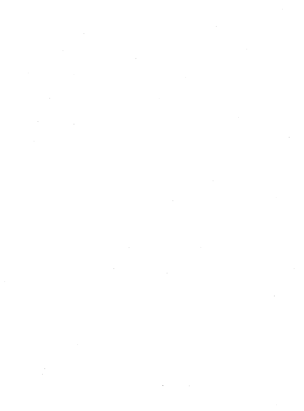$\label{eq:2.1} \frac{1}{\sqrt{2}}\int_{0}^{\infty}\frac{1}{\sqrt{2\pi}}\left(\frac{1}{\sqrt{2\pi}}\right)^{2\alpha} \frac{1}{\sqrt{2\pi}}\int_{0}^{\infty}\frac{1}{\sqrt{2\pi}}\left(\frac{1}{\sqrt{2\pi}}\right)^{\alpha} \frac{1}{\sqrt{2\pi}}\frac{1}{\sqrt{2\pi}}\int_{0}^{\infty}\frac{1}{\sqrt{2\pi}}\frac{1}{\sqrt{2\pi}}\frac{1}{\sqrt{2\pi}}\frac{1}{\sqrt{2\pi}}\frac{1}{\sqrt{2\pi}}\frac{1}{\sqrt{2\pi}}$ 

 $\label{eq:2.1} \frac{1}{\sqrt{2}}\left(\frac{1}{\sqrt{2}}\right)^{2} \left(\frac{1}{\sqrt{2}}\right)^{2} \left(\frac{1}{\sqrt{2}}\right)^{2} \left(\frac{1}{\sqrt{2}}\right)^{2} \left(\frac{1}{\sqrt{2}}\right)^{2} \left(\frac{1}{\sqrt{2}}\right)^{2} \left(\frac{1}{\sqrt{2}}\right)^{2} \left(\frac{1}{\sqrt{2}}\right)^{2} \left(\frac{1}{\sqrt{2}}\right)^{2} \left(\frac{1}{\sqrt{2}}\right)^{2} \left(\frac{1}{\sqrt{2}}\right)^{2} \left(\$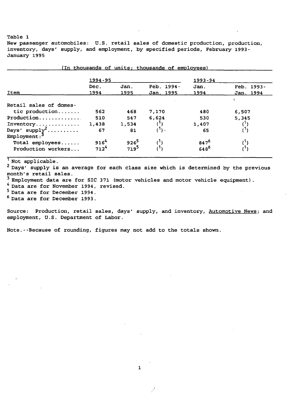New passenger automobiles: U.S. retail sales of domestic production, production, inventory, days' supply, and employment, by specified periods, February 1993- January 1995

|                                                       | 1994-95          |                                      |                | 1993-94                       |                |
|-------------------------------------------------------|------------------|--------------------------------------|----------------|-------------------------------|----------------|
|                                                       | Dec.             | Jan.                                 | Feb. 1994-     | Jan.                          | Feb. 1993-     |
| <b>Item</b>                                           | 1994             | 1995                                 | Jan. 1995      | 1994                          | Jan. 1994      |
| Retail sales of domes-                                |                  |                                      |                |                               |                |
| tic production<br>Production                          | 562<br>510       | 468<br>547                           | 7,170<br>6,624 | 480<br>530                    | 6,507<br>5,345 |
| Inventory                                             | 1,438            | 1,534                                | (1)            | 1,407                         |                |
| Days' supply <sup>2</sup><br>Employment: <sup>3</sup> | 67               | 81                                   | $(1)$ .        | 65                            |                |
| Total employees<br>Production workers                 | $9164$<br>$7124$ | 926 <sup>5</sup><br>719 <sup>5</sup> | (1)            | 847 <sup>6</sup><br>$648^{6}$ |                |

 $\frac{1}{1}$  Not applicable.

2 Days' supply is an average for each class size which is determined by the previous month's retail sales.

<sup>3</sup> Employment data are for SIC 371 (motor vehicles and motor vehicle equipment).<br><sup>4</sup> Data are for November 1994, revised.

5 Data are for December 1994.

6 Data are for December 1993.

Source: Production, retail sales, days' supply, and inventory, Automotive News; and employment, U.S. Department of Labor.

1

فلمبر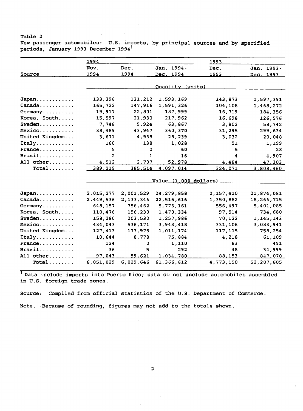New passenger automobiles: U.S. imports, by principal sources and by specified periods, January 1993-December 1994

|                           | 1994           |           |                       | 1993      |            |  |  |  |  |  |
|---------------------------|----------------|-----------|-----------------------|-----------|------------|--|--|--|--|--|
|                           | Nov.           | Dec.      | Jan. 1994-            | Dec.      | Jan. 1993- |  |  |  |  |  |
| Source                    | 1994           | 1994      | Dec. 1994             | 1993      | Dec. 1993  |  |  |  |  |  |
|                           |                |           |                       |           |            |  |  |  |  |  |
|                           |                |           | Quantity (units)      |           |            |  |  |  |  |  |
| Japan                     | 133,396        | 131,212   | 1,593,169             | 143,873   | 1,597,391  |  |  |  |  |  |
| Canada.                   | 165,722        | 147,916   | 1,591,326             | 104,108   | 1,468,272  |  |  |  |  |  |
| Germany                   | 19,917         | 22,801    | 187,999               | 16,719    | 184,356    |  |  |  |  |  |
| Korea, South              | 15,597         | 21,930    | 217,962               | 16,698    | 126,576    |  |  |  |  |  |
| Sweden                    | 7,748          | 9,924     | 63,867                | 3,802     | 58,742     |  |  |  |  |  |
| Mexico                    | 38,489         | 43,947    | 360,370               | 31,295    | 299,634    |  |  |  |  |  |
| United Kingdom            | 3,671          | 4,938     | 28,239                | 3,032     | 20,048     |  |  |  |  |  |
| Italy                     | 160            | 138       | 1,028                 | 51        | 1,199      |  |  |  |  |  |
| $Frame \dots \dots \dots$ | 5              | 0         | 60                    | 5         | 28         |  |  |  |  |  |
| Brazil                    | $\overline{a}$ | 1         | 16                    | 4         | 4,907      |  |  |  |  |  |
| All other                 | 4,512          | 2,707     | 52.978                | 4,484     | 47,303     |  |  |  |  |  |
| $Total$                   | 389,219        | 385,514   | 4,097,014             | 324,071   | 3,808,460  |  |  |  |  |  |
|                           |                |           |                       |           |            |  |  |  |  |  |
|                           |                |           | Value (1,000 dollars) |           |            |  |  |  |  |  |
| Japan                     | 2,015,277      | 2,001,529 | 24, 279, 858          | 2,157,410 | 21,874,081 |  |  |  |  |  |
| Canada                    | 2,449,536      | 2,133,346 | 22,515,616            | 1,350,882 | 18,266,715 |  |  |  |  |  |
| Germany                   | 648,157        | 756,462   | 5,776,161             | 556,497   | 5,401,085  |  |  |  |  |  |
| Korea, South              | 110,476        | 156,230   | 1,470,334             | 97,514    | 734,680    |  |  |  |  |  |
| $S$ weden                 | 158,280        | 203,530   | 1,257,986             | 70,122    | 1,145,143  |  |  |  |  |  |
| Mexico                    | 434,043        | 536,171   | 3,943,418             | 331,106   | 3,083,941  |  |  |  |  |  |
| United Kingdom            | 127,413        | 173,975   | 1,011,174             | 117,115   | 758,254    |  |  |  |  |  |
| $Itally$                  | 10,644         | 8,778     | 75,884                | 4,218     | 61,109     |  |  |  |  |  |
| France                    | 124            | 0         | 1,110                 | 83        | 491        |  |  |  |  |  |
| $\texttt{Brazil}$         | 36             | 5         | 292                   | 48        | 34,999     |  |  |  |  |  |
| All other                 | 97,043         | 59,621    | 1,034,780             | 88,153    | 847,070    |  |  |  |  |  |
| $Total$                   | 6,051,029      | 6,029,646 | 61, 366, 612          | 4,773,150 | 52,207,605 |  |  |  |  |  |

Data include imports into Puerto Rico; data do not include automobiles assembled in U.S. foreign trade zones.

Source: Compiled from official statistics of the U.S. Department of Commerce.

Note.--Because of rounding, figures may not add to the totals shown.

2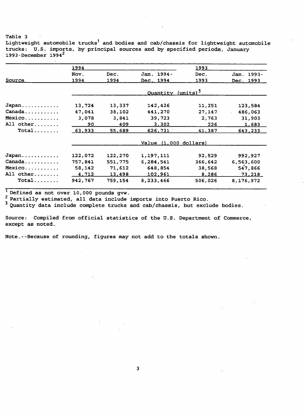Lightweight automobile  $trucks<sup>1</sup>$  and bodies and cab/chassis for lightweight automobile trucks: U.S. imports, by principal sources and by specified periods, January 1993-December 19942

|           | <u> 1994 </u> |         |                               | <u> 1993 </u> |                  |  |  |
|-----------|---------------|---------|-------------------------------|---------------|------------------|--|--|
|           | Nov.          | Dec.    | Jan. 1994-                    | Dec.          | Jan. 1993-       |  |  |
| Source    | 1994          | 1994    | Dec. 1994                     | 1993          | <u>Dec. 1993</u> |  |  |
|           |               |         | Quantity (units) <sup>3</sup> |               |                  |  |  |
| Japan     | 13,724        | 13,337  | 142,426                       | 11,251        | 123,584          |  |  |
| Canada    | 47,041        | 38,102  | 441,270                       | 27,147        | 486,063          |  |  |
| Mexico    | 3,078         | 3,841   | 39,723                        | 2,763         | 31,903           |  |  |
| All other | 90            | 409     | 3,302                         | 226           | 1,683            |  |  |
| $Total$   | 63,933        | 55,689  | 626,731                       | 41,387        | 643,233          |  |  |
|           |               |         | Value (1,000 dollars)         |               |                  |  |  |
| Japan     | 122,072       | 122,270 | 1,197,111                     | 92,529        | 992,927          |  |  |
| Canada    | 757,841       | 551,775 | 6,284,541                     | 366,642       | 6,563,600        |  |  |
| Mexico    | 58,142        | 71,612  | 648,854                       | 38,568        | 547,866          |  |  |
| All other | 4,712         | 13,498  | 102,961                       | 8,286         | 73,218           |  |  |
| $Total$   | 942,767       | 759,154 | 8,233,466                     | 506,026       | 8,176,972        |  |  |

The stimed as not over 10,000 pounds gvw.<br>
<sup>2</sup> Partially estimated, all data include imports into Puerto Rico.

3 Quantity data include complete trucks and cab/chassis, but exclude bodies.

Source: Compiled from official statistics of the U.S. Department of Commerce, except as noted.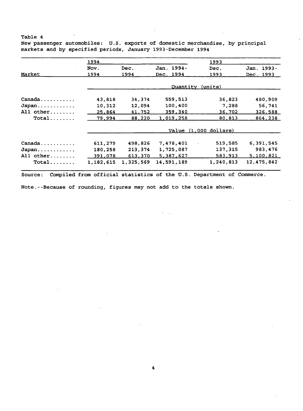New passenger automobiles: U.S. exports of domestic merchandise, by principal markets and by specified periods, January 1993-December 1994

|           | 1994      |           |                  | <u>1993</u>           |            |
|-----------|-----------|-----------|------------------|-----------------------|------------|
|           | Nov.      | Dec.      | Jan. 1994-       | Dec.                  | Jan. 1993- |
| Market    | 1994      | 1994      | Dec. 1994        | 1993                  | Dec. 1993  |
|           |           |           |                  |                       |            |
|           |           |           | Quantity (units) |                       |            |
| Canada.   | 43,818    | 34,374    | 559,513          | 36,823                | 480,909    |
| Japan     | 10,312    | 12,094    | 100,400          | 7,288                 | 56,741     |
| All other | 25,864    | 41,752    | 359,340          | 36,702                | 326,588    |
| $Total$   | 79,994    | 88,220    | 1,019,258        | 80,813                | 864,238    |
|           |           |           |                  | Value (1,000 dollars) |            |
|           |           |           |                  |                       |            |
| Canada.   | 611,279   | 498,826   | 7,478,401        | 519,585               | 6,391,545  |
| Japan     | 180,258   | 213,374   | 1,725,087        | 137,315               | 983,476    |
| All other | 391,078   | 613,370   | 5,387,627        | 583,913               | 5,100,821  |
| $Total$   | 1,182,615 | 1,325,569 | 14,591,189       | 1,240,813             | 12,475,842 |

Source: Compiled from official statistics of the U.S. Department of Commerce.

 $\sim$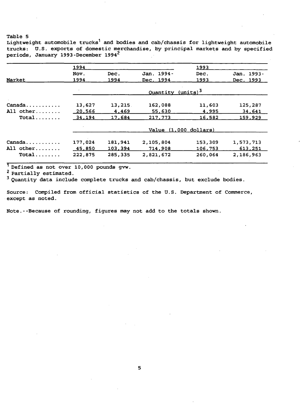Lightweight automobile  $trucks<sup>1</sup>$  and bodies and cab/chassis for lightweight automobile trucks: U.S. exports of domestic merchandise, by principal markets and by specified periods, January 1993-December 1994<sup>2</sup>

|                                  | 1994    |         |                               | 1993    |            |  |
|----------------------------------|---------|---------|-------------------------------|---------|------------|--|
|                                  | Nov.    | Dec.    | Jan. 1994-                    | Dec.    | Jan. 1993- |  |
| Market                           | 1994    | 1994    | Dec. 1994                     | 1993    | Dec. 1993  |  |
|                                  |         |         | Quantity (units) <sup>3</sup> |         |            |  |
| $Canada, \ldots, \ldots, \ldots$ | 13,627  | 13,215. | 162,088                       | 11,603  | 125,287    |  |
| All other $\ldots$               | 20,566  | 4,469   | 55,630                        | 4,995   | 34,641     |  |
| $Total$                          | 34,194  | 17,684  | 217,773                       | 16,582  | 159,929    |  |
|                                  |         |         | Value (1,000 dollars)         |         |            |  |
| Canada.                          | 177,024 | 181,941 | 2,105,804                     | 153,309 | 1,573,713  |  |
| All other                        | 45,850  | 103,394 | 714,908                       | 106,753 | 613,251    |  |
| $Total$                          | 222,875 | 285,335 | 2,821,672                     | 260,064 | 2,186,963  |  |

 $\frac{1}{2}$  Defined as not over 10,000 pounds gvw.<br> $\frac{2}{2}$  Partially estimated.

3 Quantity data include complete trucks and cab/chassis, but exclude bodies.

Source: Compiled from official statistics of the U.S. Department of Commerce, except as noted.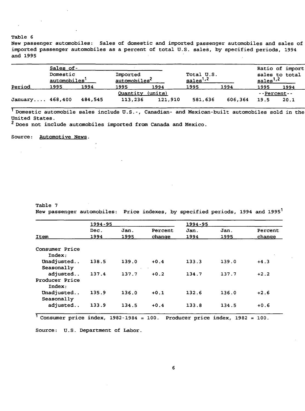New passenger automobiles: Sales of domestic and imported passenger automobiles and sales of imported passenger automobiles as a percent of total U.S. sales, by specified periods, 1994 and 1995

|                 | Sales of-                |         |                                      |         |                                             |         |                      | Ratio of import |
|-----------------|--------------------------|---------|--------------------------------------|---------|---------------------------------------------|---------|----------------------|-----------------|
|                 | Domestic<br>automobiles' |         | Imported<br>automobiles <sup>2</sup> |         | Total U.S.<br>$_{\rm sales}$ <sup>1,2</sup> |         | sales <sup>1,2</sup> | sales to total  |
| Period          | 1995                     | 1994    | 1995                                 | 1994    | 1995                                        | 1994    | 1995                 | 1994            |
|                 |                          |         | Quantity                             | (units) |                                             |         |                      | --Percent--     |
| January 468,400 |                          | 484.545 | 113,236                              | 121,910 | 581,636                                     | 606,364 | 19.5                 | 20.1            |

<sup>1</sup>Domestic automobile sales include U.S.-, Canadian- and Mexican-built automobiles sold in the United States.

2 Does not include automobiles imported from Canada and Mexico.

Source: Automotive News.

Table 7

New passenger automobiles: Price indexes, by specified periods, 1994 and 1995<sup>1</sup>

|                                    | 1994-95 |       |         | 1994-95 |       |         |  |
|------------------------------------|---------|-------|---------|---------|-------|---------|--|
|                                    | Dec.    | Jan.  | Percent | Jan.    | Jan.  | Percent |  |
| Item                               | 1994    | 1995  | change  | 1994    | 1995  | change  |  |
| Consumer Price<br>Index:           |         |       |         |         |       |         |  |
| Unadjusted<br>Seasonally           | 138.5   | 139.0 | $+0.4$  | 133.3   | 139.0 | $+4.3$  |  |
| adjusted<br>Producer Price         | 137.4   | 137.7 | $+0.2$  | 134.7   | 137.7 | $+2.2$  |  |
| Index:<br>Unadjusted<br>Seasonally | 135.9   | 136.0 | $+0.1$  | 132.6   | 136.0 | $+2.6$  |  |
| adjusted                           | 133.9   | 134.5 | $+0.4$  | 133.8   | 134.5 | $+0.6$  |  |

 $\overline{1}$  Consumer price index, 1982-1984 = 100. Producer price index, 1982 = 100.

Source: U.S. Department of Labor.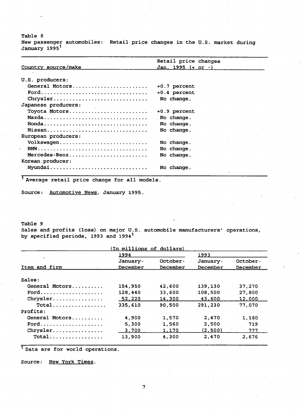New passenger automobiles: Retail price changes in the U.S. market during January 1995<sup>1</sup>

|                                                                                   | Retail price changes |
|-----------------------------------------------------------------------------------|----------------------|
| Country source/make                                                               | Jan. 1995 $(+ or -)$ |
| U.S. producers:                                                                   |                      |
| General Motors                                                                    | $+0.7$ percent       |
| $\texttt{Ford} \dots \dots \dots \dots \dots \dots \dots \dots \dots \dots \dots$ | $+0.4$ percent       |
| Chrysler                                                                          | No change.           |
| Japanese producers:                                                               |                      |
| Toyota Motors                                                                     | +0.9 percent         |
| Mazda                                                                             | No change.           |
|                                                                                   | No change.           |
| Nissan                                                                            | No change.           |
| European producers:                                                               |                      |
| Volkswagen                                                                        | No change.           |
|                                                                                   | No change.           |
| Mercedes-Benz                                                                     | No change.           |
| Korean producer:                                                                  |                      |
| Hyundai                                                                           | No change.           |

1 Average retail price change for all models.

Source: Automotive News, January 1995.

Table 9

Sales and profits (loss) on major U.S. automobile manufacturers' operations, by specified periods, 1993 and 1994<sup>1</sup>

|                                                     | (In millions of dollars) |          |          |          |  |
|-----------------------------------------------------|--------------------------|----------|----------|----------|--|
|                                                     | 1994                     |          | 1993     |          |  |
|                                                     | January-                 | October- | January- | October- |  |
| Item and firm                                       | December                 | December | December | December |  |
| Sales:                                              |                          |          |          |          |  |
| General Motors                                      | 154,950                  | 42,600   | 139,130  | 37,270   |  |
| $\texttt{Ford} \dots \dots \dots \dots \dots \dots$ | 128,440                  | 33,600   | 108,500  | 27,800   |  |
| Chrysler                                            | 52,220                   | 14,300   | 43,600   | 12,000   |  |
| Total                                               | 335,610                  | 90,500   | 291,230  | 77,070   |  |
| Profits:                                            |                          |          |          |          |  |
| General Motors                                      | 4,900                    | 1,570    | 2,470    | 1,180    |  |
| Ford                                                | 5,300                    | 1,560    | 2,500    | 719      |  |
| Chrysler                                            | 3,700                    | 1,170    | (2,500)  | 777      |  |
| $Total$                                             | 13,900                   | 4,300    | 2,470    | 2,676    |  |

Thata are for world operations.

Source: New York Times.